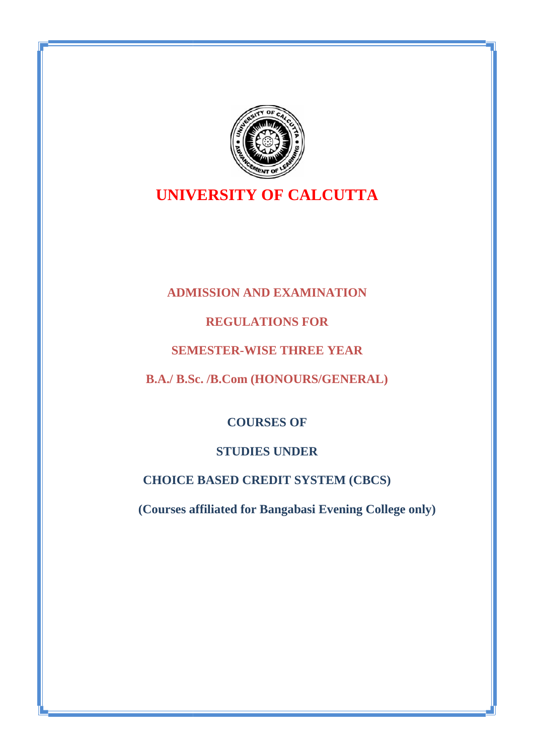

# **UNIVERSITY OF CALCUTTA**

# **ADMISSION AND EXAMINATION ADMISSION**

# **REGULATIONS FOR REGULATIONS**

# **SEMESTER-WISE THREE YEAR**

# **B.A./ B.Sc. /B.Com (HONOURS/GENERAL)**

# **COURSES OF**

# **STUDIES UNDER**

# **CHOICE BASED CREDIT SYSTEM (CBCS) /SEMESTER-WISE THREE YEAR<br>
B.A./ B.Sc. /B.Com (HONOURS/GENEE<br>
<b>COURSES OF**<br> **STUDIES UNDER**<br> **CHOICE BASED CREDIT SYSTEM (C**<br> **(Courses affiliated for Bangabasi Evening**

**(Courses affiliated for Bangabasi Evening College only)**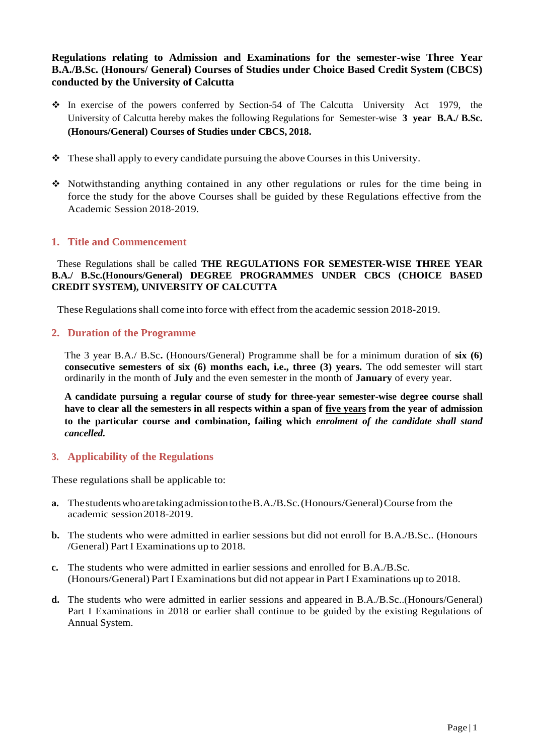**Regulations relating to Admission and Examinations for the semester-wise Three Year B.A./B.Sc. (Honours/ General) Courses of Studies under Choice Based Credit System (CBCS) conducted by the University of Calcutta**

- $\div$  In exercise of the powers conferred by Section-54 of The Calcutta University Act 1979, the University of Calcutta hereby makes the following Regulations for Semester-wise **3 year B.A./ B.Sc. (Honours/General) Courses of Studies under CBCS, 2018.**
- $\bullet$  These shall apply to every candidate pursuing the above Courses in this University.
- Notwithstanding anything contained in any other regulations or rules for the time being in force the study for the above Courses shall be guided by these Regulations effective from the Academic Session 2018-2019.

### **1. Title and Commencement**

These Regulations shall be called **THE REGULATIONS FOR SEMESTER-WISE THREE YEAR B.A./ B.Sc.(Honours/General) DEGREE PROGRAMMES UNDER CBCS (CHOICE BASED CREDIT SYSTEM), UNIVERSITY OF CALCUTTA**

These Regulations shall come into force with effect from the academic session 2018-2019.

### **2. Duration of the Programme**

The 3 year B.A./ B.Sc**.** (Honours/General) Programme shall be for a minimum duration of **six (6) consecutive semesters of six (6) months each, i.e., three (3) years.** The odd semester will start ordinarily in the month of **July** and the even semester in the month of **January** of every year.

**A candidate pursuing a regular course of study for three-year semester-wise degree course shall have to clear all the semesters in all respects within a span of five years from the year of admission to the particular course and combination, failing which** *enrolment of the candidate shall stand cancelled.*

### **3. Applicability of the Regulations**

These regulations shall be applicable to:

- **a.** ThestudentswhoaretakingadmissiontotheB.A./B.Sc.(Honours/General)Coursefrom the academic session2018-2019.
- **b.** The students who were admitted in earlier sessions but did not enroll for B.A./B.Sc.. (Honours /General) Part I Examinations up to 2018.
- **c.** The students who were admitted in earlier sessions and enrolled for B.A./B.Sc. (Honours/General) Part I Examinations but did notappear in Part I Examinations up to 2018.
- **d.** The students who were admitted in earlier sessions and appeared in B.A./B.Sc..(Honours/General) Part I Examinations in 2018 or earlier shall continue to be guided by the existing Regulations of Annual System.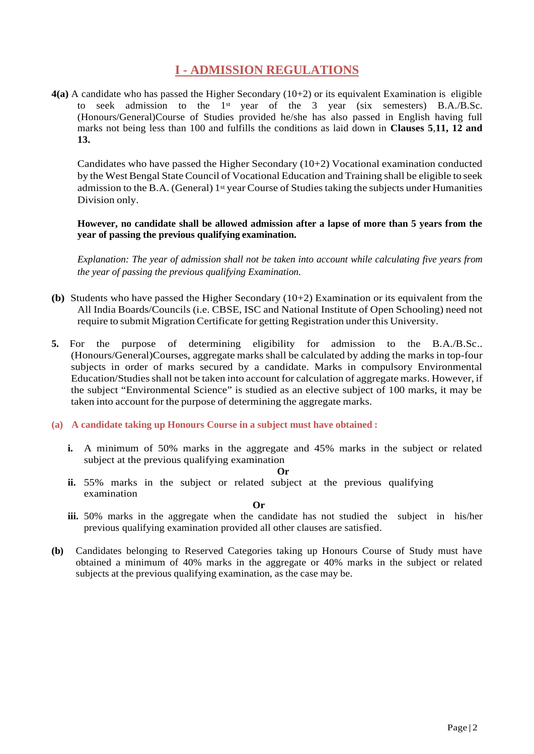# **I - ADMISSION REGULATIONS**

**4(a)** A candidate who has passed the Higher Secondary (10+2) or its equivalent Examination is eligible to seek admission to the 1<sup>st</sup> year of the 3 year (six semesters) B.A./B.Sc. (Honours/General)Course of Studies provided he/she has also passed in English having full marks not being less than 100 and fulfills the conditions as laid down in **Clauses 5**,**11, 12 and 13.**

Candidates who have passed the Higher Secondary (10+2) Vocational examination conducted by the West Bengal State Council of Vocational Education and Training shall be eligible to seek admission to the B.A. (General) 1<sup>st</sup> year Course of Studies taking the subjects under Humanities Division only.

**However, no candidate shall be allowed admission after a lapse of more than 5 years from the year of passing the previous qualifying examination.**

*Explanation: The year of admission shall not be taken into account while calculating five years from the year of passing the previous qualifying Examination.*

- **(b)** Students who have passed the Higher Secondary ( $10+2$ ) Examination or its equivalent from the All India Boards/Councils (i.e. CBSE, ISC and National Institute of Open Schooling) need not require to submit Migration Certificate for getting Registration under this University.
- **5.** For the purpose of determining eligibility for admission to the B.A./B.Sc.. (Honours/General)Courses, aggregate marks shall be calculated by adding the marks in top-four subjects in order of marks secured by a candidate. Marks in compulsory Environmental Education/Studies shall not be taken into account for calculation of aggregate marks. However, if the subject "Environmental Science" is studied as an elective subject of 100 marks, it may be taken into account for the purpose of determining the aggregate marks.
- **(a) A candidate taking up Honours Course in a subject must have obtained :**
	- **i.** A minimum of 50% marks in the aggregate and 45% marks in the subject or related subject at the previous qualifying examination

**Or**

**ii.** 55% marks in the subject or related subject at the previous qualifying examination

**Or**

- **iii.** 50% marks in the aggregate when the candidate has not studied the subject in his/her previous qualifying examination provided all other clauses are satisfied.
- **(b)** Candidates belonging to Reserved Categories taking up Honours Course of Study must have obtained a minimum of 40% marks in the aggregate or 40% marks in the subject or related subjects at the previous qualifying examination, as the case may be.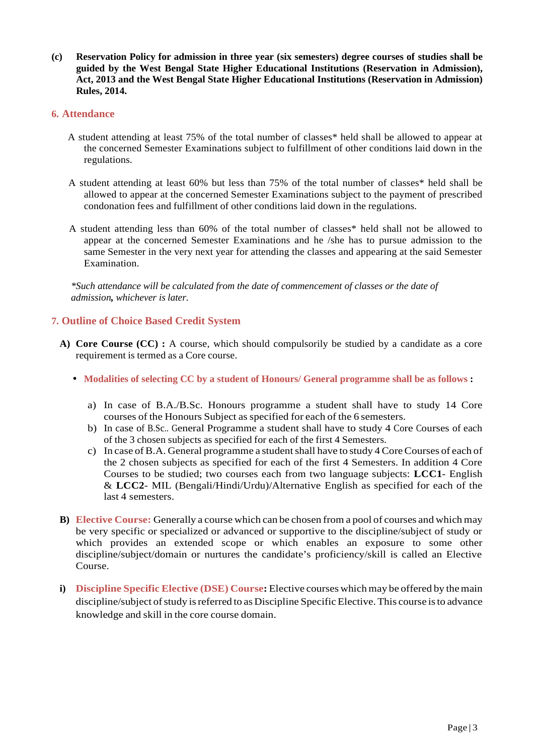**(c) Reservation Policy for admission in three year (six semesters) degree courses of studies shall be guided by the West Bengal State Higher Educational Institutions (Reservation in Admission), Act, 2013 and the West Bengal State Higher Educational Institutions (Reservation in Admission) Rules, 2014.**

### **6. Attendance**

- A student attending at least 75% of the total number of classes\* held shall be allowed to appear at the concerned Semester Examinations subject to fulfillment of other conditions laid down in the regulations.
- A student attending at least 60% but less than 75% of the total number of classes\* held shall be allowed to appear at the concerned Semester Examinations subject to the payment of prescribed condonation fees and fulfillment of other conditions laid down in the regulations.
- A student attending less than 60% of the total number of classes\* held shall not be allowed to appear at the concerned Semester Examinations and he /she has to pursue admission to the same Semester in the very next year for attending the classes and appearing at the said Semester Examination.

*\*Such attendance will be calculated from the date of commencement of classes or the date of admission, whichever is later.*

### **7. Outline of Choice Based Credit System**

- **A) Core Course (CC) :** A course, which should compulsorily be studied by a candidate as a core requirement is termed as a Core course.
	- **Modalities of selecting CC by a student of Honours/ General programme shall be as follows :**
		- a) In case of B.A./B.Sc. Honours programme a student shall have to study 14 Core courses of the Honours Subject asspecified for each of the 6 semesters.
		- b) In case of B.Sc.. General Programme a student shall have to study 4 Core Courses of each of the 3 chosen subjects as specified for each of the first 4 Semesters.
		- c) In case of B.A. General programme a student shall have to study 4 Core Courses of each of the 2 chosen subjects as specified for each of the first 4 Semesters. In addition 4 Core Courses to be studied; two courses each from two language subjects: **LCC1**- English & **LCC2**- MIL (Bengali/Hindi/Urdu)/Alternative English as specified for each of the last 4 semesters.
- **B) Elective Course:** Generally a course which can be chosen from a pool of courses and which may be very specific or specialized or advanced or supportive to the discipline/subject of study or which provides an extended scope or which enables an exposure to some other discipline/subject/domain or nurtures the candidate's proficiency/skill is called an Elective Course.
- **i) Discipline Specific Elective (DSE) Course:** Elective courses which may be offered by themain discipline/subject of study is referred to as Discipline Specific Elective. This course is to advance knowledge and skill in the core course domain.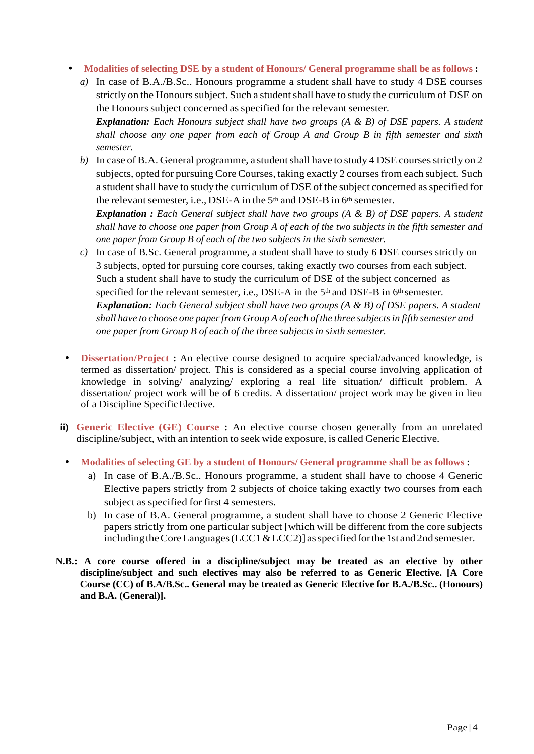- **Modalities of selecting DSE by a student of Honours/ General programme shall be as follows :**
	- *a)* In case of B.A./B.Sc.. Honours programme a student shall have to study 4 DSE courses strictly on the Honours subject. Such a student shall have to study the curriculum of DSE on the Honours subject concerned as specified for the relevant semester. *Explanation: Each Honours subject shall have two groups (A & B) of DSE papers. A student shall choose any one paper from each of Group A and Group B in fifth semester and sixth*

*semester.*

*b*) In case of B.A. General programme, a student shall have to study 4 DSE courses strictly on 2 subjects, opted for pursuing Core Courses, taking exactly 2 courses from each subject. Such a student shall have to study the curriculum of DSE of the subject concerned as specified for the relevant semester, i.e., DSE-A in the  $5<sup>th</sup>$  and DSE-B in  $6<sup>th</sup>$  semester.

*Explanation : Each General subject shall have two groups (A & B) of DSE papers. A student shall have to choose one paper from Group A of each of the two subjects in the fifth semester and one paper from Group B of each of the two subjects in the sixth semester.*

- *c)* In case of B.Sc. General programme, a student shall have to study 6 DSE courses strictly on 3 subjects, opted for pursuing core courses, taking exactly two courses from each subject. Such a student shall have to study the curriculum of DSE of the subject concerned as specified for the relevant semester, i.e., DSE-A in the 5<sup>th</sup> and DSE-B in 6<sup>th</sup> semester. *Explanation: Each General subject shall have two groups (A & B) of DSE papers. A student shall have to choose one paperfrom Group A of each of the three subjectsin fifth semester and one paper from Group B of each of the three subjects in sixth semester.*
- **Dissertation/Project :** An elective course designed to acquire special/advanced knowledge, is termed as dissertation/ project. This is considered as a special course involving application of knowledge in solving/ analyzing/ exploring a real life situation/ difficult problem. A dissertation/ project work will be of 6 credits. A dissertation/ project work may be given in lieu of a Discipline SpecificElective.
- **ii) Generic Elective (GE) Course :** An elective course chosen generally from an unrelated discipline/subject, with an intention to seek wide exposure, is called Generic Elective.
- **Modalities of selecting GE by a student of Honours/ General programme shall be as follows :**
	- a) In case of B.A./B.Sc.. Honours programme, a student shall have to choose 4 Generic Elective papers strictly from 2 subjects of choice taking exactly two courses from each subject as specified for first 4 semesters.
	- b) In case of B.A. General programme, a student shall have to choose 2 Generic Elective papers strictly from one particular subject [which will be different from the core subjects including the Core Languages (LCC1 & LCC2)] as specified for the 1st and 2nd semester.
- **N.B.: A core course offered in a discipline/subject may be treated as an elective by other discipline/subject and such electives may also be referred to as Generic Elective. [A Core Course (CC) of B.A/B.Sc.. General may be treated as Generic Elective for B.A./B.Sc.. (Honours) and B.A. (General)].**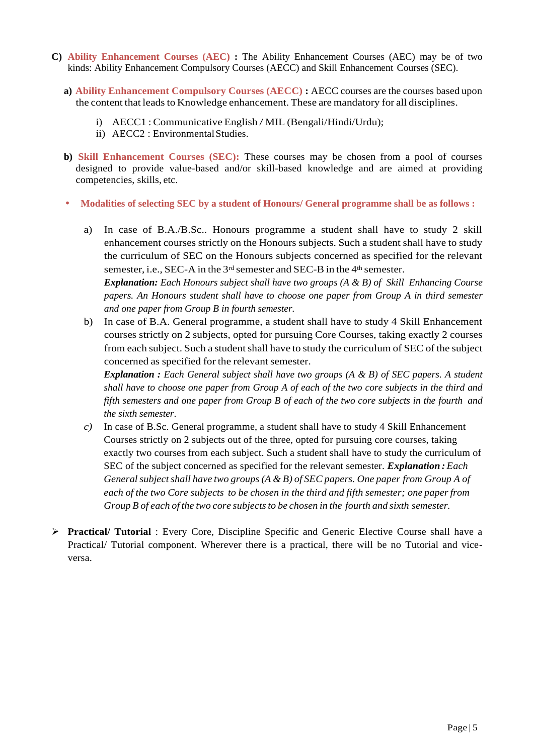- **C) Ability Enhancement Courses (AEC) :** The Ability Enhancement Courses (AEC) may be of two kinds: Ability Enhancement Compulsory Courses (AECC) and Skill Enhancement Courses (SEC).
	- **a) Ability Enhancement Compulsory Courses (AECC) :** AECC courses are the courses based upon the content that leads to Knowledge enhancement. These are mandatory for all disciplines.
		- i) AECC1 : Communicative English / MIL (Bengali/Hindi/Urdu);
		- ii) AECC2 : Environmental Studies.
	- **b) Skill Enhancement Courses (SEC):** These courses may be chosen from a pool of courses designed to provide value-based and/or skill-based knowledge and are aimed at providing competencies, skills, etc.
	- **Modalities of selecting SEC by a student of Honours/ General programme shall be as follows :**
		- a) In case of B.A./B.Sc.. Honours programme a student shall have to study 2 skill enhancement courses strictly on the Honours subjects. Such a student shall have to study the curriculum of SEC on the Honours subjects concerned as specified for the relevant semester, i.e., SEC-A in the 3<sup>rd</sup> semester and SEC-B in the 4<sup>th</sup> semester.

*Explanation: Each Honours subject shall have two groups (A & B) of Skill Enhancing Course papers. An Honours student shall have to choose one paper from Group A in third semester and one paper from Group B in fourth semester.*

b) In case of B.A. General programme, a student shall have to study 4 Skill Enhancement courses strictly on 2 subjects, opted for pursuing Core Courses, taking exactly 2 courses from each subject. Such a studentshall have to study the curriculum of SEC of the subject concerned as specified for the relevant semester.

*Explanation : Each General subject shall have two groups (A & B) of SEC papers. A student shall have to choose one paper from Group A of each of the two core subjects in the third and fifth semesters and one paper from Group B of each of the two core subjects in the fourth and the sixth semester*.

- *c)* In case of B.Sc. General programme, a student shall have to study 4 Skill Enhancement Courses strictly on 2 subjects out of the three, opted for pursuing core courses, taking exactly two courses from each subject. Such a student shall have to study the curriculum of SEC of the subject concerned as specified for the relevant semester. *Explanation : Each Generalsubjectshall have two groups (A & B) of SEC papers. One paper from Group A of each of the two Core subjects to be chosen in the third and fifth semester; one paperfrom Group B of each of the two core subjectsto be chosen in the fourth and sixth semester.*
- **Practical/ Tutorial** : Every Core, Discipline Specific and Generic Elective Course shall have a Practical/ Tutorial component. Wherever there is a practical, there will be no Tutorial and vice versa.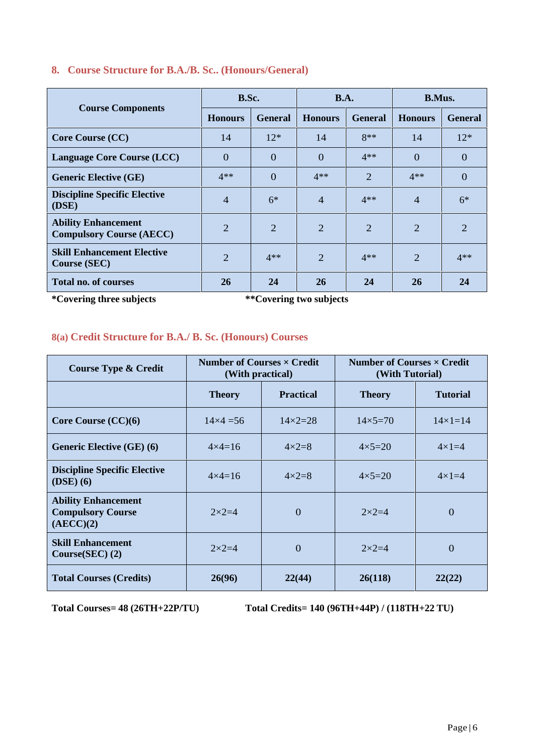|                                                               | B.Sc.          |                | <b>B.A.</b>    |                | <b>B.Mus.</b>  |                |
|---------------------------------------------------------------|----------------|----------------|----------------|----------------|----------------|----------------|
| <b>Course Components</b>                                      | <b>Honours</b> | <b>General</b> | <b>Honours</b> | <b>General</b> | <b>Honours</b> | <b>General</b> |
| <b>Core Course (CC)</b>                                       | 14             | $12*$          | 14             | $8**$          | 14             | $12*$          |
| <b>Language Core Course (LCC)</b>                             | $\Omega$       | $\Omega$       | $\theta$       | $4**$          | $\Omega$       | $\theta$       |
| <b>Generic Elective (GE)</b>                                  | $4**$          | $\Omega$       | $4**$          | $\overline{2}$ | $4**$          | $\overline{0}$ |
| <b>Discipline Specific Elective</b><br>(DSE)                  | $\overline{4}$ | $6*$           | $\overline{4}$ | $4**$          | $\overline{4}$ | $6*$           |
| <b>Ability Enhancement</b><br><b>Compulsory Course (AECC)</b> | $\overline{2}$ | 2              | 2              | $\overline{2}$ | 2              | 2              |
| <b>Skill Enhancement Elective</b><br><b>Course (SEC)</b>      | $\overline{2}$ | $4**$          | $\overline{2}$ | $4**$          | 2              | $4**$          |
| <b>Total no. of courses</b>                                   | 26             | 24             | 26             | 24             | 26             | 24             |

### **8. Course Structure for B.A./B. Sc.. (Honours/General)**

**\*Covering three subjects \*\*Covering two subjects**

### **8(a) Credit Structure for B.A./ B. Sc. (Honours) Courses**

| <b>Course Type &amp; Credit</b>                                     | Number of Courses $\times$ Credit<br>(With practical) |                    | Number of Courses x Credit<br>(With Tutorial) |                    |  |
|---------------------------------------------------------------------|-------------------------------------------------------|--------------------|-----------------------------------------------|--------------------|--|
|                                                                     | <b>Theory</b>                                         | <b>Practical</b>   | <b>Theory</b>                                 | <b>Tutorial</b>    |  |
| Core Course $(CC)(6)$                                               | $14\times4=56$                                        | $14 \times 2 = 28$ | $14\times5=70$                                | $14 \times 1 = 14$ |  |
| <b>Generic Elective (GE) (6)</b>                                    | $4 \times 4 = 16$                                     | $4 \times 2 = 8$   | $4 \times 5 = 20$                             | $4\times1=4$       |  |
| <b>Discipline Specific Elective</b><br>$(DSE)$ (6)                  | $4 \times 4 = 16$                                     | $4 \times 2 = 8$   | $4 \times 5 = 20$                             | $4\times1=4$       |  |
| <b>Ability Enhancement</b><br><b>Compulsory Course</b><br>(AECC)(2) | $2\times2=4$                                          | $\Omega$           | $2\times2=4$                                  | $\Omega$           |  |
| <b>Skill Enhancement</b><br>Course(SEC) (2)                         | $2\times2=4$                                          | $\Omega$           | $2\times2=4$                                  | $\Omega$           |  |
| <b>Total Courses (Credits)</b>                                      | 26(96)                                                | 22(44)             | 26(118)                                       | 22(22)             |  |

**Total Courses= 48 (26TH+22P/TU) Total Credits= 140 (96TH+44P) / (118TH+22 TU)**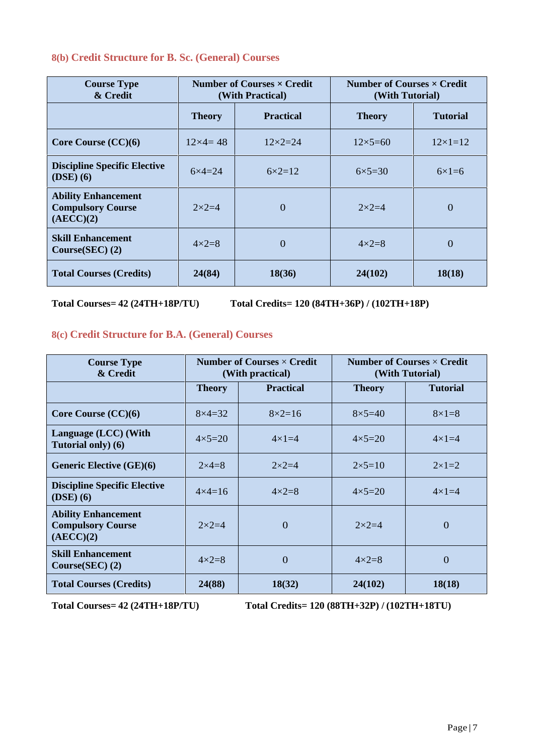### **8(b) Credit Structure for B. Sc. (General) Courses**

| <b>Course Type</b><br>& Credit                                      | Number of Courses $\times$ Credit<br>(With Practical) |                    | Number of Courses $\times$ Credit<br>(With Tutorial) |                 |  |
|---------------------------------------------------------------------|-------------------------------------------------------|--------------------|------------------------------------------------------|-----------------|--|
|                                                                     | <b>Theory</b>                                         | <b>Practical</b>   | <b>Theory</b>                                        | <b>Tutorial</b> |  |
| Core Course $(CC)(6)$                                               | $12\times4=48$                                        | $12 \times 2 = 24$ | $12\times5=60$                                       | $12\times1=12$  |  |
| <b>Discipline Specific Elective</b><br>$(DSE)$ (6)                  | $6 \times 4 = 24$                                     | $6 \times 2 = 12$  | $6\times5=30$                                        | $6\times1=6$    |  |
| <b>Ability Enhancement</b><br><b>Compulsory Course</b><br>(AECC)(2) | $2\times2=4$                                          | $\Omega$           | $2\times2=4$                                         | $\Omega$        |  |
| <b>Skill Enhancement</b><br>Course(SEC) (2)                         | $4 \times 2 = 8$                                      | $\Omega$           | $4\times2=8$                                         | $\Omega$        |  |
| <b>Total Courses (Credits)</b>                                      | 24(84)                                                | 18(36)             | 24(102)                                              | 18(18)          |  |

**Total Courses= 42 (24TH+18P/TU) Total Credits= 120 (84TH+36P) / (102TH+18P)**

### **8(c) Credit Structure for B.A. (General) Courses**

| <b>Course Type</b><br>& Credit                                      | Number of Courses $\times$ Credit<br>(With practical) |                   |                   | Number of Courses $\times$ Credit<br>(With Tutorial) |
|---------------------------------------------------------------------|-------------------------------------------------------|-------------------|-------------------|------------------------------------------------------|
|                                                                     | <b>Theory</b>                                         | <b>Practical</b>  | <b>Theory</b>     | <b>Tutorial</b>                                      |
| Core Course $(CC)(6)$                                               | $8\times4=32$                                         | $8 \times 2 = 16$ | $8\times5=40$     | $8\times1=8$                                         |
| Language (LCC) (With<br>Tutorial only) (6)                          | $4 \times 5 = 20$                                     | $4\times1=4$      | $4 \times 5 = 20$ | $4\times1=4$                                         |
| <b>Generic Elective (GE)(6)</b>                                     | $2 \times 4 = 8$                                      | $2 \times 2 = 4$  | $2 \times 5 = 10$ | $2 \times 1 = 2$                                     |
| <b>Discipline Specific Elective</b><br>$(DSE)$ (6)                  | $4 \times 4 = 16$                                     | $4 \times 2 = 8$  | $4 \times 5 = 20$ | $4\times1=4$                                         |
| <b>Ability Enhancement</b><br><b>Compulsory Course</b><br>(AECC)(2) | $2 \times 2 = 4$                                      | $\Omega$          | $2\times2=4$      | $\Omega$                                             |
| <b>Skill Enhancement</b><br>Course(SEC) (2)                         | $4 \times 2 = 8$                                      | $\Omega$          | $4\times2=8$      | $\Omega$                                             |
| <b>Total Courses (Credits)</b>                                      | 24(88)                                                | 18(32)            | 24(102)           | 18(18)                                               |

**Total Courses= 42 (24TH+18P/TU) Total Credits= 120 (88TH+32P) / (102TH+18TU)**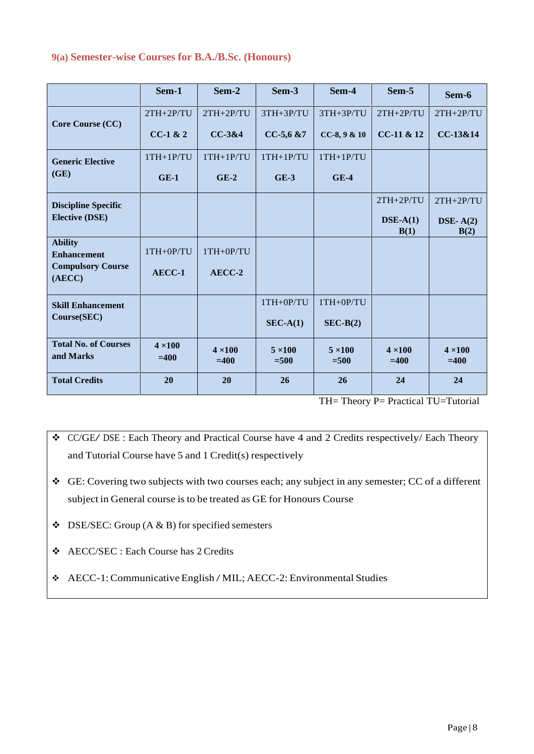### **9(a) Semester-wise Courses for B.A./B.Sc. (Honours)**

|                                                     | Sem-1                    | Sem-2                    | Sem-3                    | Sem-4                    | Sem-5                    | Sem-6                    |
|-----------------------------------------------------|--------------------------|--------------------------|--------------------------|--------------------------|--------------------------|--------------------------|
|                                                     | $2TH+2P/TU$              | $2TH+2P/TU$              | $3TH+3P/TU$              | 3TH+3P/TU                | $2TH+2P/TU$              | $2TH+2P/TU$              |
| <b>Core Course (CC)</b>                             | $CC-1$ & $2$             | CC-3&4                   | $CC-5,6$ &7              | $CC-8, 9 & 10$           | CC-11 & 12               | CC-13&14                 |
| <b>Generic Elective</b>                             | $1TH+1P/TU$              | $1TH+1P/TU$              | $1TH+1P/TU$              | $1TH+1P/TU$              |                          |                          |
| (GE)                                                | $GE-1$                   | $GE-2$                   | $GE-3$                   | $GE-4$                   |                          |                          |
| <b>Discipline Specific</b><br><b>Elective (DSE)</b> |                          |                          |                          |                          | $2TH+2P/TU$              | $2TH+2P/TU$              |
|                                                     |                          |                          |                          |                          | $\bf DSE-A(1)$<br>B(1)   | DSE- $A(2)$<br>B(2)      |
| <b>Ability</b><br><b>Enhancement</b>                | 1TH+0P/TU                | 1TH+0P/TU                |                          |                          |                          |                          |
| <b>Compulsory Course</b><br>(AECC)                  | AECC-1                   | AECC-2                   |                          |                          |                          |                          |
| <b>Skill Enhancement</b>                            |                          |                          | 1TH+0P/TU                | 1TH+0P/TU                |                          |                          |
| Course(SEC)                                         |                          |                          | $SEC-A(1)$               | $SEC-B(2)$               |                          |                          |
| <b>Total No. of Courses</b><br>and Marks            | $4 \times 100$<br>$=400$ | $4 \times 100$<br>$=400$ | $5 \times 100$<br>$=500$ | $5 \times 100$<br>$=500$ | $4 \times 100$<br>$=400$ | $4 \times 100$<br>$=400$ |
| <b>Total Credits</b>                                | 20                       | 20                       | 26                       | 26                       | 24                       | 24                       |

TH= Theory P= Practical TU=Tutorial

 CC/GE/ DSE : Each Theory and Practical Course have <sup>4</sup> and <sup>2</sup> Credits respectively/ Each Theory and Tutorial Course have 5 and 1 Credit(s) respectively

 GE: Covering two subjects with two courses each; any subject in any semester; CC of a different subject in General course is to be treated as GE for Honours Course

 $\triangleleft$  DSE/SEC: Group (A & B) for specified semesters

AECC/SEC : Each Course has 2 Credits

AECC-1:Communicative English /MIL; AECC-2: Environmental Studies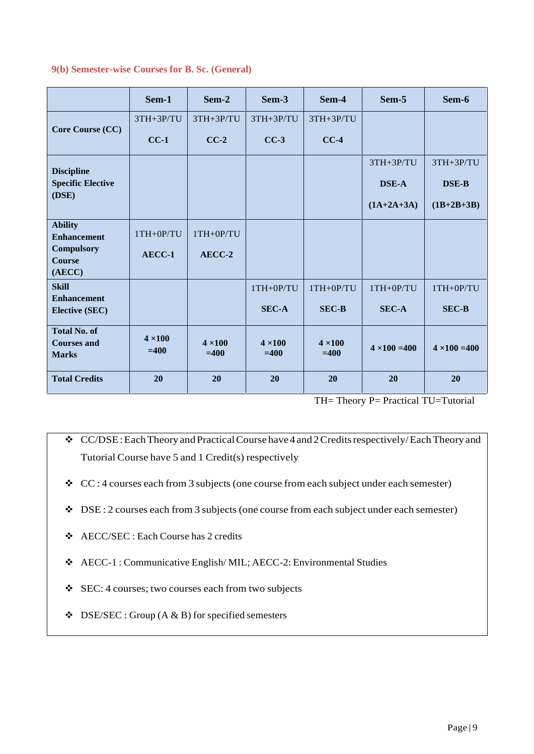|                                                           | Sem-1                    | Sem-2                    | Sem-3                    | Sem-4                    | Sem-5                | Sem-6                |
|-----------------------------------------------------------|--------------------------|--------------------------|--------------------------|--------------------------|----------------------|----------------------|
|                                                           | $3TH+3P/TU$              | $3TH+3P/TU$              | 3TH+3P/TU                | 3TH+3P/TU                |                      |                      |
| Core Course (CC)                                          | $CC-1$                   | $CC-2$                   | $CC-3$                   | $CC-4$                   |                      |                      |
| <b>Discipline</b>                                         |                          |                          |                          |                          | $3TH+3P/TU$          | 3TH+3P/TU            |
| <b>Specific Elective</b>                                  |                          |                          |                          |                          | <b>DSE-A</b>         | <b>DSE-B</b>         |
| (DSE)                                                     |                          |                          |                          |                          | $(1A+2A+3A)$         | $(1B+2B+3B)$         |
| <b>Ability</b><br><b>Enhancement</b>                      | 1TH+0P/TU                | $1TH+OP/TU$              |                          |                          |                      |                      |
| <b>Compulsory</b><br><b>Course</b><br>(AECC)              | AECC-1                   | AECC-2                   |                          |                          |                      |                      |
| <b>Skill</b>                                              |                          |                          | 1TH+0P/TU                | 1TH+0P/TU                | 1TH+0P/TU            | 1TH+0P/TU            |
| <b>Enhancement</b><br><b>Elective (SEC)</b>               |                          |                          | <b>SEC-A</b>             | <b>SEC-B</b>             | <b>SEC-A</b>         | <b>SEC-B</b>         |
| <b>Total No. of</b><br><b>Courses and</b><br><b>Marks</b> | $4 \times 100$<br>$=400$ | $4 \times 100$<br>$=400$ | $4 \times 100$<br>$=400$ | $4 \times 100$<br>$=400$ | $4 \times 100 = 400$ | $4 \times 100 = 400$ |
| <b>Total Credits</b>                                      | 20                       | 20                       | 20                       | 20                       | 20                   | 20                   |

### **9(b) Semester-wise Courses for B. Sc. (General)**

TH= Theory P= Practical TU=Tutorial

- CC/DSE:EachTheory andPracticalCourse have4 and2Creditsrespectively/EachTheoryand Tutorial Course have 5 and 1 Credit(s) respectively
- CC : 4 courses each from 3 subjects (one course from each subject under each semester)
- $\bullet$  DSE : 2 courses each from 3 subjects (one course from each subject under each semester)
- AECC/SEC : Each Course has 2 credits
- AECC-1 : Communicative English/ MIL; AECC-2: Environmental Studies
- SEC: 4 courses; two courses each from two subjects
- $\bullet$  DSE/SEC : Group (A & B) for specified semesters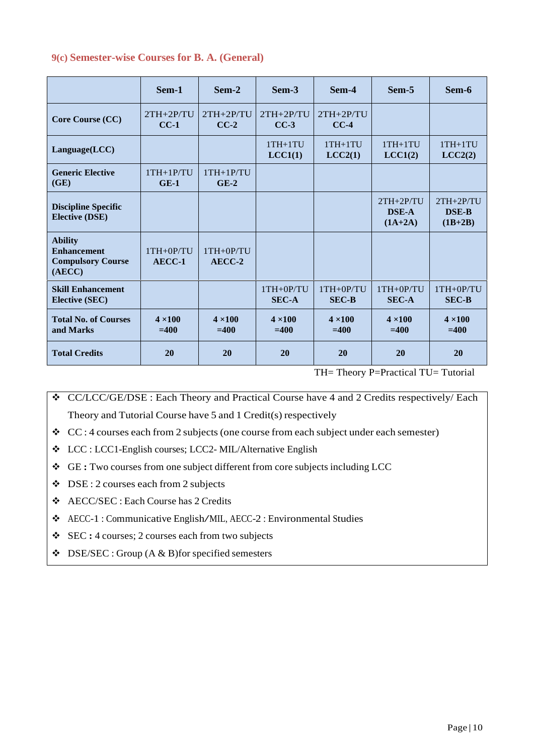|  | 9(c) Semester-wise Courses for B. A. (General) |  |  |  |  |
|--|------------------------------------------------|--|--|--|--|
|--|------------------------------------------------|--|--|--|--|

|                                                                            | Sem-1                    | Sem-2                    | Sem-3                       | Sem-4                       | Sem-5                                    | Sem-6                                    |
|----------------------------------------------------------------------------|--------------------------|--------------------------|-----------------------------|-----------------------------|------------------------------------------|------------------------------------------|
| Core Course (CC)                                                           | $2TH+2P/TU$<br>$CC-1$    | $2TH+2P/TU$<br>$CC-2$    | $2TH+2P/TU$<br>$CC-3$       | $2TH+2P/TU$<br>$CC-4$       |                                          |                                          |
| Language(LCC)                                                              |                          |                          | $1TH+1TU$<br>LCC1(1)        | $1TH+1TU$<br>LCC2(1)        | $1TH+1TU$<br>LCC1(2)                     | $1TH+1TU$<br>LCC2(2)                     |
| <b>Generic Elective</b><br>(GE)                                            | $1TH+1P/TU$<br>$GE-1$    | $1TH+1P/TU$<br>$GE-2$    |                             |                             |                                          |                                          |
| <b>Discipline Specific</b><br><b>Elective (DSE)</b>                        |                          |                          |                             |                             | $2TH+2P/TU$<br><b>DSE-A</b><br>$(1A+2A)$ | $2TH+2P/TU$<br><b>DSE-B</b><br>$(1B+2B)$ |
| <b>Ability</b><br><b>Enhancement</b><br><b>Compulsory Course</b><br>(AECC) | $1TH+0P/TU$<br>$AECC-1$  | $1TH+0P/TU$<br>AECC-2    |                             |                             |                                          |                                          |
| <b>Skill Enhancement</b><br><b>Elective (SEC)</b>                          |                          |                          | $1TH+0P/TU$<br><b>SEC-A</b> | $1TH+0P/TU$<br><b>SEC-B</b> | $1TH+0P/TU$<br><b>SEC-A</b>              | $1TH+0P/TU$<br><b>SEC-B</b>              |
| <b>Total No. of Courses</b><br>and Marks                                   | $4 \times 100$<br>$=400$ | $4 \times 100$<br>$=400$ | $4 \times 100$<br>$=400$    | $4 \times 100$<br>$=400$    | $4 \times 100$<br>$=400$                 | $4 \times 100$<br>$=400$                 |
| <b>Total Credits</b>                                                       | 20                       | 20                       | 20                          | 20                          | 20                                       | 20                                       |

TH= Theory P=Practical TU= Tutorial

 CC/LCC/GE/DSE : Each Theory and Practical Course have 4 and 2 Credits respectively/ Each Theory and Tutorial Course have 5 and 1 Credit(s) respectively

- $\div$  CC : 4 courses each from 2 subjects (one course from each subject under each semester)
- LCC : LCC1-English courses; LCC2- MIL/Alternative English
- GE**:** Two courses from one subject different from core subjects including LCC
- $\bullet$  DSE : 2 courses each from 2 subjects
- AECC/SEC : Each Course has 2 Credits
- AECC-1 : Communicative English/MIL, AECC-2 : Environmental Studies
- SEC **:** 4 courses; 2 courses each from two subjects
- $\triangleleft$  DSE/SEC : Group (A & B) for specified semesters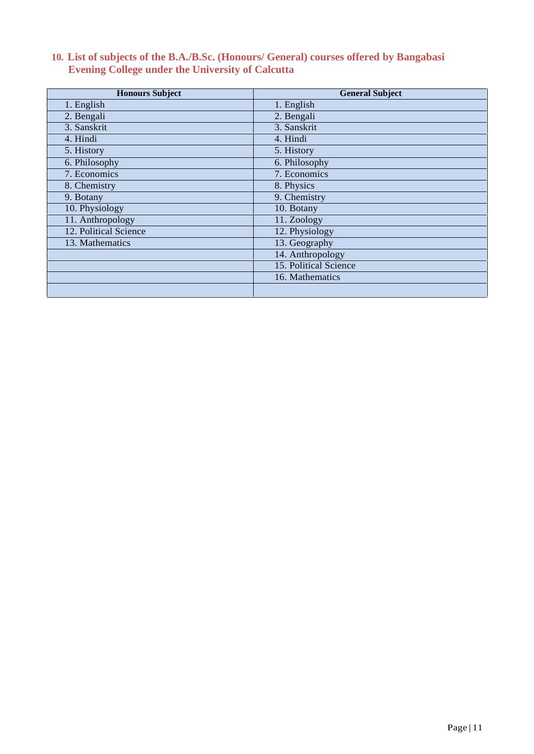# **10. List of subjects of the B.A./B.Sc. (Honours/ General) courses offered by Bangabasi Evening College under the University of Calcutta**

| <b>Honours Subject</b> | <b>General Subject</b> |
|------------------------|------------------------|
| 1. English             | 1. English             |
| 2. Bengali             | 2. Bengali             |
| 3. Sanskrit            | 3. Sanskrit            |
| 4. Hindi               | 4. Hindi               |
| 5. History             | 5. History             |
| 6. Philosophy          | 6. Philosophy          |
| 7. Economics           | 7. Economics           |
| 8. Chemistry           | 8. Physics             |
| 9. Botany              | 9. Chemistry           |
| 10. Physiology         | 10. Botany             |
| 11. Anthropology       | 11. Zoology            |
| 12. Political Science  | 12. Physiology         |
| 13. Mathematics        | 13. Geography          |
|                        | 14. Anthropology       |
|                        | 15. Political Science  |
|                        | 16. Mathematics        |
|                        |                        |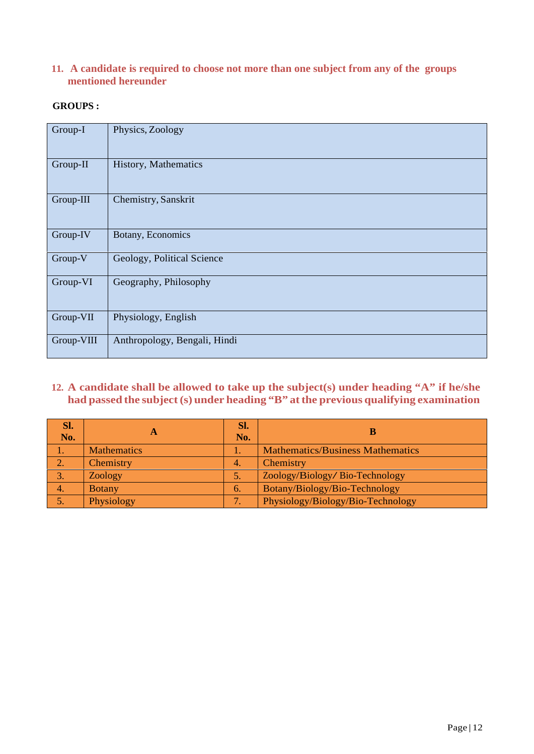### **11. A candidate is required to choose not more than one subject from any of the groups mentioned hereunder**

### **GROUPS :**

| Group-I    | Physics, Zoology             |
|------------|------------------------------|
| Group-II   | History, Mathematics         |
| Group-III  | Chemistry, Sanskrit          |
| Group-IV   | Botany, Economics            |
| Group-V    | Geology, Political Science   |
| Group-VI   | Geography, Philosophy        |
| Group-VII  | Physiology, English          |
| Group-VIII | Anthropology, Bengali, Hindi |

## **12. A candidate shall be allowed to take up the subject(s) under heading "A" if he/she had passed the subject(s) under heading "B" atthe previous qualifying examination**

| SI.            |                    | Sl.              |                                         |
|----------------|--------------------|------------------|-----------------------------------------|
| No.            | A                  | No.              |                                         |
|                | <b>Mathematics</b> | ī.               | <b>Mathematics/Business Mathematics</b> |
| 2.             | Chemistry          | $\overline{4}$ . | Chemistry                               |
| 3.             | Zoology            | 5.               | Zoology/Biology/Bio-Technology          |
| $\overline{4}$ | <b>Botany</b>      | 6.               | Botany/Biology/Bio-Technology           |
| 5.             | Physiology         |                  | Physiology/Biology/Bio-Technology       |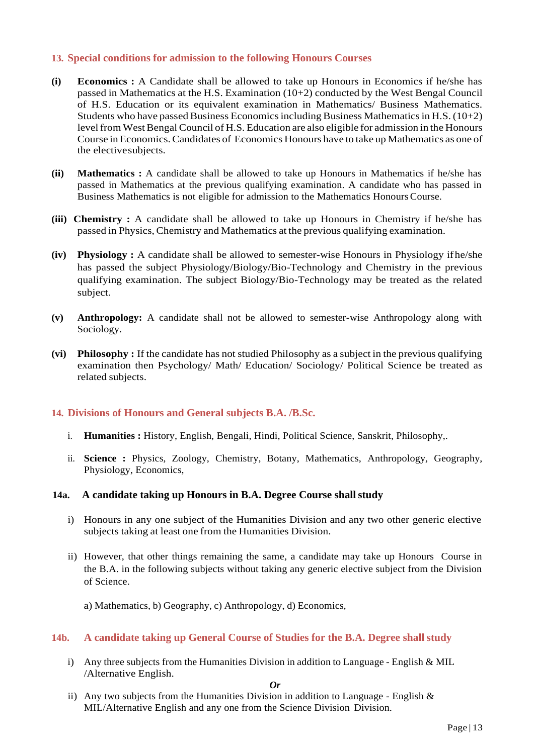### **13. Special conditions for admission to the following Honours Courses**

- **(i) Economics :** A Candidate shall be allowed to take up Honours in Economics if he/she has passed in Mathematics at the H.S. Examination (10+2) conducted by the West Bengal Council of H.S. Education or its equivalent examination in Mathematics/ Business Mathematics. Students who have passed Business Economics including Business Mathematics in H.S.  $(10+2)$ level from West Bengal Council of H.S. Education are also eligible for admission in the Honours Course in Economics.Candidates of Economics Honours have to take up Mathematics as one of the electivesubjects.
- **(ii) Mathematics :** A candidate shall be allowed to take up Honours in Mathematics if he/she has passed in Mathematics at the previous qualifying examination. A candidate who has passed in Business Mathematics is not eligible for admission to the Mathematics HonoursCourse.
- **(iii) Chemistry :** A candidate shall be allowed to take up Honours in Chemistry if he/she has passed in Physics, Chemistry and Mathematics at the previous qualifying examination.
- **(iv) Physiology :** A candidate shall be allowed to semester-wise Honours in Physiology ifhe/she has passed the subject Physiology/Biology/Bio-Technology and Chemistry in the previous qualifying examination. The subject Biology/Bio-Technology may be treated as the related subject.
- **(v) Anthropology:** A candidate shall not be allowed to semester-wise Anthropology along with Sociology.
- **(vi) Philosophy :** If the candidate has not studied Philosophy as a subject in the previous qualifying examination then Psychology/ Math/ Education/ Sociology/ Political Science be treated as related subjects.

### **14. Divisions of Honours and General subjects B.A. /B.Sc.**

- i. **Humanities :** History, English, Bengali, Hindi, Political Science, Sanskrit, Philosophy,.
- ii. **Science :** Physics, Zoology, Chemistry, Botany, Mathematics, Anthropology, Geography, Physiology, Economics,

### **14a. A candidate taking up Honours in B.A. Degree Course shallstudy**

- i) Honours in any one subject of the Humanities Division and any two other generic elective subjects taking at least one from the Humanities Division.
- ii) However, that other things remaining the same, a candidate may take up Honours Course in the B.A. in the following subjects without taking any generic elective subject from the Division of Science.
	- a) Mathematics, b) Geography, c) Anthropology, d) Economics,

### **14b. A candidate taking up General Course of Studies for the B.A. Degree shall study**

i) Any three subjects from the Humanities Division in addition to Language - English & MIL /Alternative English.

### *Or*

ii) Any two subjects from the Humanities Division in addition to Language - English  $\&$ MIL/Alternative English and any one from the Science Division Division.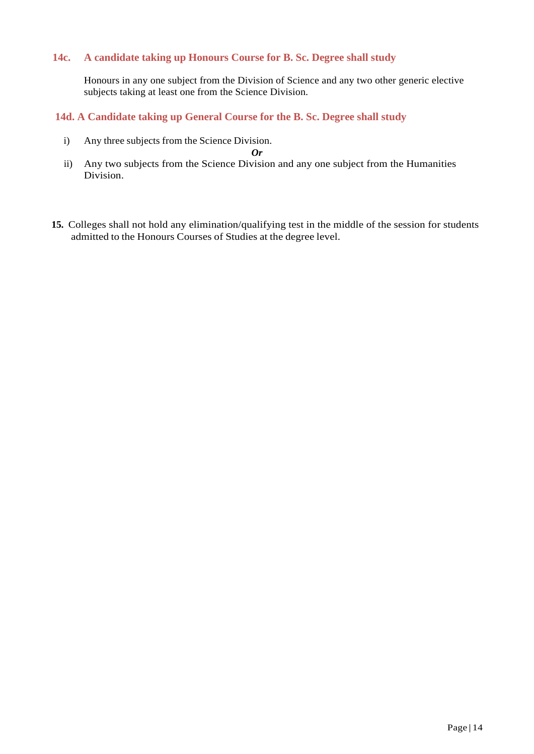### **14c. A candidate taking up Honours Course for B. Sc. Degree shall study**

Honours in any one subject from the Division of Science and any two other generic elective subjects taking at least one from the Science Division.

### **14d. A Candidate taking up General Course for the B. Sc. Degree shall study**

i) Any three subjects from the Science Division.

*Or*

- ii) Any two subjects from the Science Division and any one subject from the Humanities Division.
- **15.** Colleges shall not hold any elimination/qualifying test in the middle of the session for students admitted to the Honours Courses of Studies at the degree level.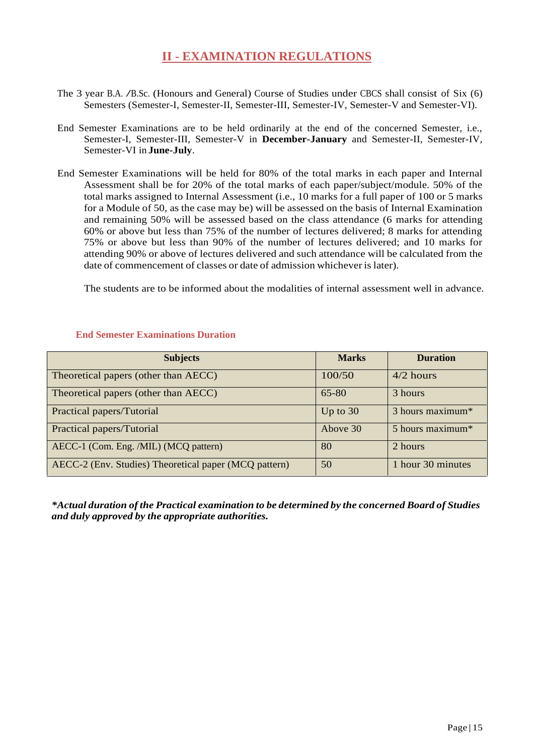# **II - EXAMINATION REGULATIONS**

- The <sup>3</sup> year B.A. /B.Sc. (Honours and General) Course of Studies under CBCS shall consist of Six (6) Semesters (Semester-I, Semester-II, Semester-III, Semester-IV, Semester-V and Semester-VI).
- End Semester Examinations are to be held ordinarily at the end of the concerned Semester, i.e., Semester-I, Semester-III, Semester-V in **December-January** and Semester-II, Semester-IV, Semester-VI in **June-July**.
- End Semester Examinations will be held for 80% of the total marks in each paper and Internal Assessment shall be for 20% of the total marks of each paper/subject/module. 50% of the total marks assigned to Internal Assessment (i.e., 10 marks for a full paper of 100 or 5 marks for a Module of 50, as the case may be) will be assessed on the basis of Internal Examination and remaining 50% will be assessed based on the class attendance (6 marks for attending 60% or above but less than 75% of the number of lectures delivered; 8 marks for attending 75% or above but less than 90% of the number of lectures delivered; and 10 marks for attending 90% or above of lectures delivered and such attendance will be calculated from the date of commencement of classes or date of admission whichever is later).

The students are to be informed about the modalities of internal assessment well in advance.

| <b>Subjects</b>                                       | <b>Marks</b> | <b>Duration</b>                |
|-------------------------------------------------------|--------------|--------------------------------|
| Theoretical papers (other than AECC)                  | 100/50       | $4/2$ hours                    |
| Theoretical papers (other than AECC)                  | $65 - 80$    | 3 hours                        |
| Practical papers/Tutorial                             | Up to $30$   | $3$ hours maximum <sup>*</sup> |
| Practical papers/Tutorial                             | Above 30     | 5 hours maximum*               |
| AECC-1 (Com. Eng. /MIL) (MCQ pattern)                 | 80           | 2 hours                        |
| AECC-2 (Env. Studies) Theoretical paper (MCQ pattern) | 50           | 1 hour 30 minutes              |

### **End Semester Examinations Duration**

*\*Actual duration of the Practical examination to be determined by the concerned Board of Studies and duly approved by the appropriate authorities.*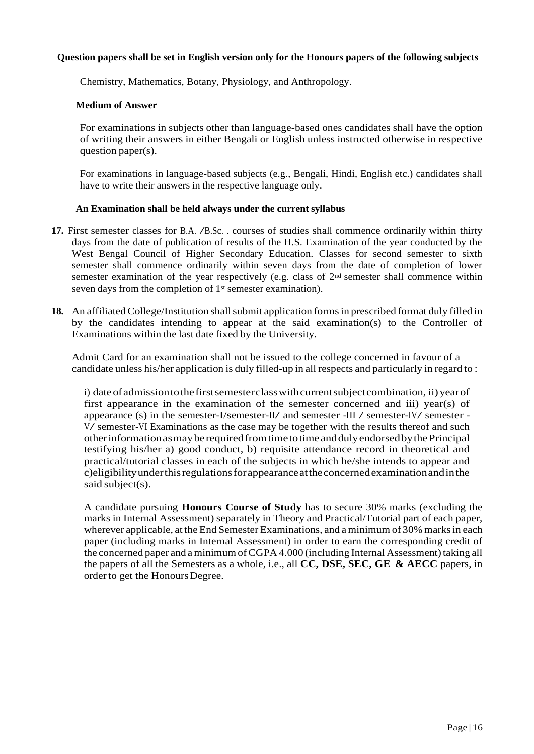### **Question papers shall be set in English version only for the Honours papers of the following subjects**

Chemistry, Mathematics, Botany, Physiology, and Anthropology.

### **Medium of Answer**

For examinations in subjects other than language-based ones candidates shall have the option of writing their answers in either Bengali or English unless instructed otherwise in respective question paper(s).

For examinations in language-based subjects (e.g., Bengali, Hindi, English etc.) candidates shall have to write their answers in the respective language only.

### **An Examination shall be held always under the current syllabus**

- **17.** First semester classes for B.A. /B.Sc. . courses of studies shall commence ordinarily within thirty days from the date of publication of results of the H.S. Examination of the year conducted by the West Bengal Council of Higher Secondary Education. Classes for second semester to sixth semester shall commence ordinarily within seven days from the date of completion of lower semester examination of the year respectively (e.g. class of 2nd semester shall commence within seven days from the completion of 1<sup>st</sup> semester examination).
- **18.** An affiliated College/Institution shall submit application forms in prescribed format duly filled in by the candidates intending to appear at the said examination(s) to the Controller of Examinations within the last date fixed by the University.

Admit Card for an examination shall not be issued to the college concerned in favour of a candidate unless his/her application is duly filled-up in all respects and particularly in regard to :

i) date of admission to the first semester class with current subject combination, ii) year of first appearance in the examination of the semester concerned and iii) year(s) of appearance (s) in the semester-I/semester-II/ and semester -III / semester-IV/ semester -  $V$ / semester-VI Examinations as the case may be together with the results thereof and such otherinformationasmaybe requiredfromtimetotime anddulyendorsedbythePrincipal testifying his/her a) good conduct, b) requisite attendance record in theoretical and practical/tutorial classes in each of the subjects in which he/she intends to appear and c)eligibilityunderthisregulationsforappearanceattheconcernedexaminationandinthe said subject(s).

A candidate pursuing **Honours Course of Study** has to secure 30% marks (excluding the marks in Internal Assessment) separately in Theory and Practical/Tutorial part of each paper, wherever applicable, at the End Semester Examinations, and a minimum of 30% marks in each paper (including marks in Internal Assessment) in order to earn the corresponding credit of the concerned paper and a minimum of CGPA 4.000 (including Internal Assessment) taking all the papers of all the Semesters as a whole, i.e., all **CC, DSE, SEC, GE & AECC** papers,in orderto get the HonoursDegree.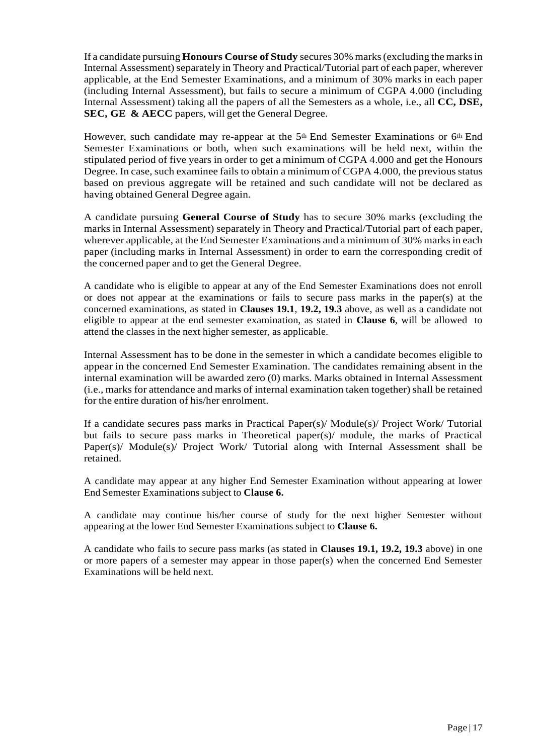If a candidate pursuing **Honours Course of Study** secures 30% marks(excluding the marksin Internal Assessment) separately in Theory and Practical/Tutorial part of each paper, wherever applicable, at the End Semester Examinations, and a minimum of 30% marks in each paper (including Internal Assessment), but fails to secure a minimum of CGPA 4.000 (including Internal Assessment) taking all the papers of all the Semesters as a whole, i.e., all **CC, DSE, SEC, GE & AECC** papers,will get the General Degree.

However, such candidate may re-appear at the 5th End Semester Examinations or 6th End Semester Examinations or both, when such examinations will be held next, within the stipulated period of five years in order to get a minimum of CGPA 4.000 and getthe Honours Degree. In case, such examinee fails to obtain a minimum of CGPA 4.000, the previous status based on previous aggregate will be retained and such candidate will not be declared as having obtained General Degree again.

A candidate pursuing **General Course of Study** has to secure 30% marks (excluding the marks in Internal Assessment) separately in Theory and Practical/Tutorial part of each paper, wherever applicable, at the End Semester Examinations and a minimum of 30% marks in each paper (including marks in Internal Assessment) in order to earn the corresponding credit of the concerned paper and to get the General Degree.

A candidate who is eligible to appear at any of the End Semester Examinations does not enroll or does not appear at the examinations or fails to secure pass marks in the paper(s) at the concerned examinations, as stated in **Clauses 19.1**, **19.2, 19.3** above, as well as a candidate not eligible to appear at the end semester examination, as stated in **Clause 6**, will be allowed to attend the classes in the next higher semester, as applicable.

Internal Assessment has to be done in the semester in which a candidate becomes eligible to appear in the concerned End Semester Examination. The candidates remaining absent in the internal examination will be awarded zero (0) marks. Marks obtained in Internal Assessment (i.e., marks for attendance and marks of internal examination taken together) shall be retained for the entire duration of his/her enrolment.

If a candidate secures pass marks in Practical Paper(s)/ Module(s)/ Project Work/ Tutorial but fails to secure pass marks in Theoretical paper(s)/ module, the marks of Practical Paper(s)/ Module(s)/ Project Work/ Tutorial along with Internal Assessment shall be retained.

A candidate may appear at any higher End Semester Examination without appearing at lower End Semester Examinations subject to **Clause 6.**

A candidate may continue his/her course of study for the next higher Semester without appearing at the lower End Semester Examinations subject to **Clause 6.**

A candidate who fails to secure pass marks (as stated in **Clauses 19.1, 19.2, 19.3** above) in one or more papers of a semester may appear in those paper(s) when the concerned End Semester Examinations will be held next.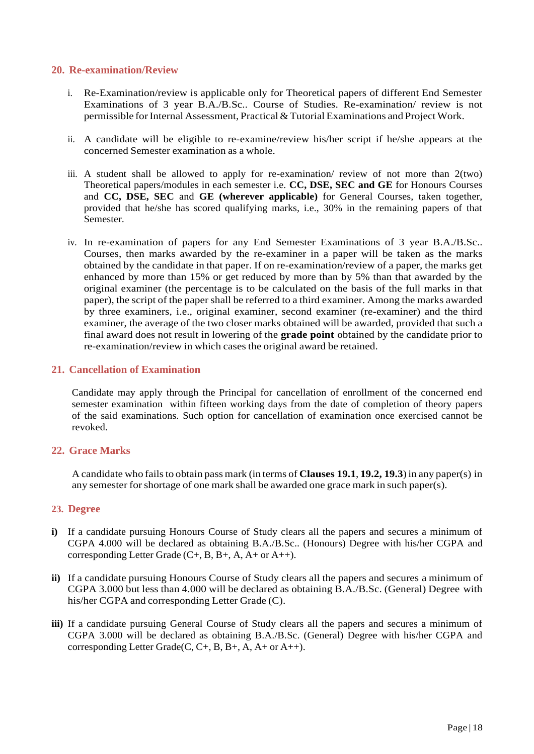### **20. Re-examination/Review**

- i. Re-Examination/review is applicable only for Theoretical papers of different End Semester Examinations of 3 year B.A./B.Sc.. Course of Studies. Re-examination/ review is not permissible for Internal Assessment, Practical & Tutorial Examinations and Project Work.
- ii. A candidate will be eligible to re-examine/review his/her script if he/she appears at the concerned Semester examination as a whole.
- iii. A student shall be allowed to apply for re-examination/ review of not more than 2(two) Theoretical papers/modules in each semester i.e. **CC, DSE, SEC and GE** for Honours Courses and **CC, DSE, SEC** and **GE (wherever applicable)** for General Courses, taken together, provided that he/she has scored qualifying marks, i.e., 30% in the remaining papers of that Semester.
- iv. In re-examination of papers for any End Semester Examinations of 3 year B.A./B.Sc.. Courses, then marks awarded by the re-examiner in a paper will be taken as the marks obtained by the candidate in that paper. If on re-examination/review of a paper, the marks get enhanced by more than 15% or get reduced by more than by 5% than that awarded by the original examiner (the percentage is to be calculated on the basis of the full marks in that paper), the script of the paper shall be referred to a third examiner. Among the marks awarded by three examiners, i.e., original examiner, second examiner (re-examiner) and the third examiner, the average of the two closer marks obtained will be awarded, provided that such a final award does not result in lowering ofthe **grade point** obtained by the candidate prior to re-examination/review in which cases the original award be retained.

### **21. Cancellation of Examination**

Candidate may apply through the Principal for cancellation of enrollment of the concerned end semester examination within fifteen working days from the date of completion of theory papers of the said examinations. Such option for cancellation of examination once exercised cannot be revoked.

### **22. Grace Marks**

A candidate who failsto obtain pass mark (in terms of **Clauses 19.1**, **19.2, 19.3**)in any paper(s) in any semester forshortage of one mark shall be awarded one grace mark in such paper(s).

### **23. Degree**

- **i)** If a candidate pursuing Honours Course of Study clears all the papers and secures a minimum of CGPA 4.000 will be declared as obtaining B.A./B.Sc.. (Honours) Degree with his/her CGPA and corresponding Letter Grade  $(C+, B, B+, A, A+$  or  $A++$ ).
- **ii)** If a candidate pursuing Honours Course of Study clears all the papers and secures a minimum of CGPA 3.000 but less than 4.000 will be declared as obtaining B.A./B.Sc. (General) Degree with his/her CGPA and corresponding Letter Grade (C).
- **iii)** If a candidate pursuing General Course of Study clears all the papers and secures a minimum of CGPA 3.000 will be declared as obtaining B.A./B.Sc. (General) Degree with his/her CGPA and corresponding Letter Grade(C, C+, B, B+, A, A+ or A++).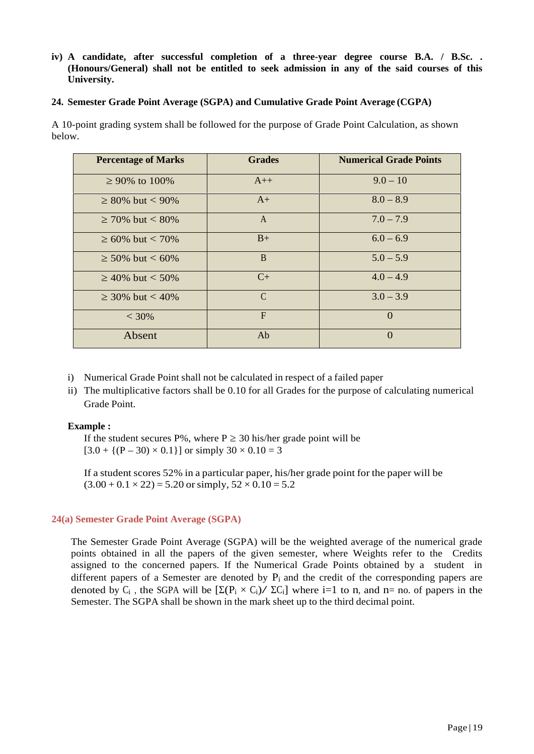### **iv) A candidate, after successful completion of a three-year degree course B.A. / B.Sc. . (Honours/General) shall not be entitled to seek admission in any of the said courses of this University.**

### **24. Semester Grade Point Average (SGPA) and Cumulative Grade Point Average (CGPA)**

A 10-point grading system shall be followed for the purpose of Grade Point Calculation, as shown below.

| <b>Percentage of Marks</b> | <b>Grades</b> | <b>Numerical Grade Points</b> |
|----------------------------|---------------|-------------------------------|
| 90% to 100%                | $A++$         | $9.0 - 10$                    |
| 80\% but $< 90\%$          | $A+$          | $8.0 - 8.9$                   |
| 70\% but $< 80\%$          | $\mathbf{A}$  | $7.0 - 7.9$                   |
| 60\% but $< 70\%$          | $B+$          | $6.0 - 6.9$                   |
| 50\% but $< 60\%$          | <sub>B</sub>  | $5.0 - 5.9$                   |
| 40% but $< 50\%$           | $C+$          | $4.0 - 4.9$                   |
| 30\% but $<$ 40\%          | $\mathcal{C}$ | $3.0 - 3.9$                   |
| $<$ 30%                    | F             | $\Omega$                      |
| Absent                     | Ab            | $\Omega$                      |

- i) Numerical Grade Point shall not be calculated in respect of a failed paper
- ii) The multiplicative factors shall be 0.10 for all Grades for the purpose of calculating numerical Grade Point.

### **Example :**

If the student secures  $P\%$ , where P 30 his/her grade point will be  $[3.0 + {(P – 30) \times 0.1}]$  or simply  $30 \times 0.10 = 3$ 

If a student scores 52% in a particular paper, his/her grade point for the paper will be  $(3.00 + 0.1 \times 22) = 5.20$  or simply,  $52 \times 0.10 = 5.2$ 

### **24(a) Semester Grade Point Average (SGPA)**

The Semester Grade Point Average (SGPA) will be the weighted average of the numerical grade points obtained in all the papers of the given semester, where Weights refer to the Credits assigned to the concerned papers. If the Numerical Grade Points obtained by a student in different papers of a Semester are denoted by  $P_i$  and the credit of the corresponding papers are denoted by  $C_i$ , the SGPA will be  $\left[ (P_i \times C_i) / C_i \right]$  where i=1 to n, and n= no. of papers in the Semester. The SGPA shall be shown in the mark sheet up to the third decimal point.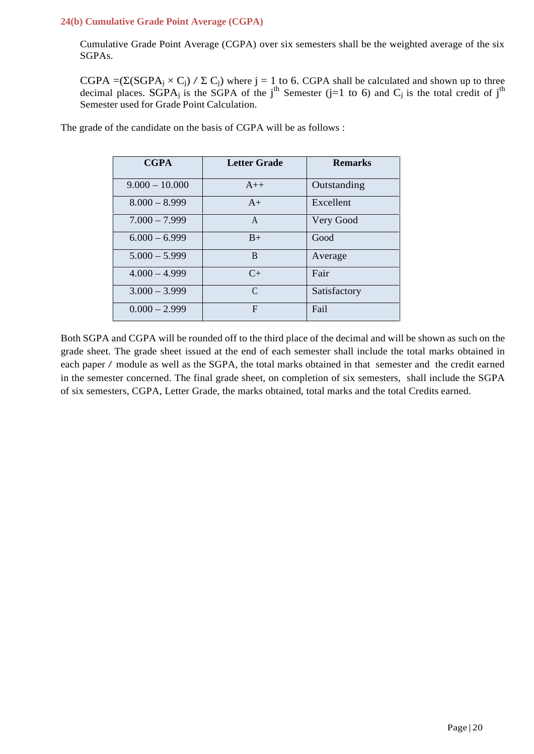### **24(b) Cumulative Grade Point Average (CGPA)**

Cumulative Grade Point Average (CGPA) over six semesters shall be the weighted average of the six SGPAs.

 $CGPA = (SGPA<sub>j</sub> × C<sub>j</sub>) / C<sub>j</sub>)$  where j = 1 to 6. CGPA shall be calculated and shown up to three decimal places. SGPA<sub>j</sub> is the SGPA of the j<sup>th</sup> Semester (j=1 to 6) and C<sub>j</sub> is the total credit of j<sup>th</sup> Semester used for Grade Point Calculation.

| <b>CGPA</b>      | <b>Letter Grade</b> | <b>Remarks</b> |
|------------------|---------------------|----------------|
| $9.000 - 10.000$ | $A++$               | Outstanding    |
| $8.000 - 8.999$  | $A+$                | Excellent      |
| $7.000 - 7.999$  | A                   | Very Good      |
| $6.000 - 6.999$  | $B+$                | Good           |
| $5.000 - 5.999$  | B                   | Average        |
| $4.000 - 4.999$  | $C_{\pm}$           | Fair           |
| $3.000 - 3.999$  | $\mathcal{C}$       | Satisfactory   |
| $0.000 - 2.999$  | $\mathbf F$         | Fail           |

The grade of the candidate on the basis of CGPA will be as follows :

Both SGPA and CGPA will be rounded off to the third place of the decimal and will be shown as such on the grade sheet. The grade sheet issued at the end of each semester shall include the total marks obtained in each paper / module as well as the SGPA, the total marks obtained in that semester and the credit earned in the semester concerned. The final grade sheet, on completion of six semesters, shall include the SGPA of six semesters, CGPA, Letter Grade, the marks obtained, total marks and the total Credits earned.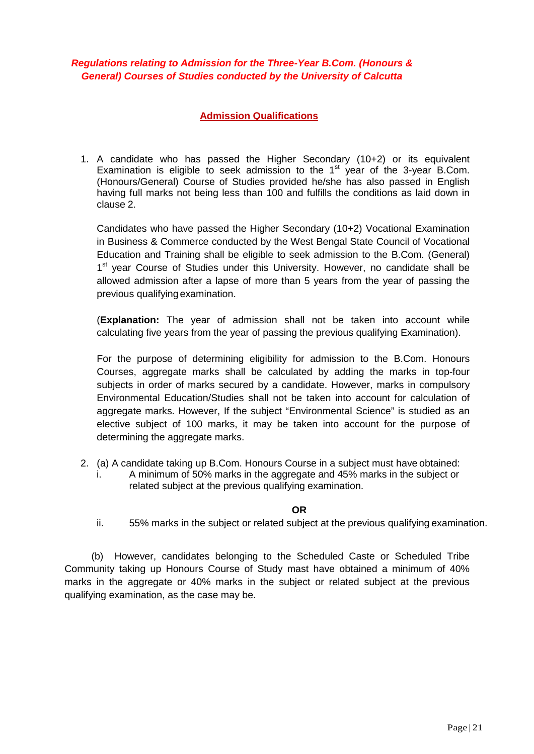### *Regulations relating to Admission for the Three-Year B.Com. (Honours & General) Courses of Studies conducted by the University of Calcutta*

### **Admission Qualifications**

1. A candidate who has passed the Higher Secondary (10+2) or its equivalent Examination is eligible to seek admission to the 1st year of the 3-year B.Com. (Honours/General) Course of Studies provided he/she has also passed in English having full marks not being less than 100 and fulfills the conditions as laid down in clause 2.

Candidates who have passed the Higher Secondary (10+2) Vocational Examination in Business & Commerce conducted by the West Bengal State Council of Vocational Education and Training shall be eligible to seek admission to the B.Com. (General) 1<sup>st</sup> year Course of Studies under this University. However, no candidate shall be allowed admission after a lapse of more than 5 years from the year of passing the previous qualifying examination.

(**Explanation:** The year of admission shall not be taken into account while calculating five years from the year of passing the previous qualifying Examination).

For the purpose of determining eligibility for admission to the B.Com. Honours Courses, aggregate marks shall be calculated by adding the marks in top-four subjects in order of marks secured by a candidate. However, marks in compulsory Environmental Education/Studies shall not be taken into account for calculation of aggregate marks. However, If the subject "Environmental Science" is studied as an elective subject of 100 marks, it may be taken into account for the purpose of determining the aggregate marks.

- 2. (a) A candidate taking up B.Com. Honours Course in a subject must have obtained:
	- i. A minimum of 50% marks in the aggregate and 45% marks in the subject or related subject at the previous qualifying examination.

**OR**

ii. 55% marks in the subject or related subject at the previous qualifying examination.

(b) However, candidates belonging to the Scheduled Caste or Scheduled Tribe Community taking up Honours Course of Study mast have obtained a minimum of 40% marks in the aggregate or 40% marks in the subject or related subject at the previous qualifying examination, as the case may be.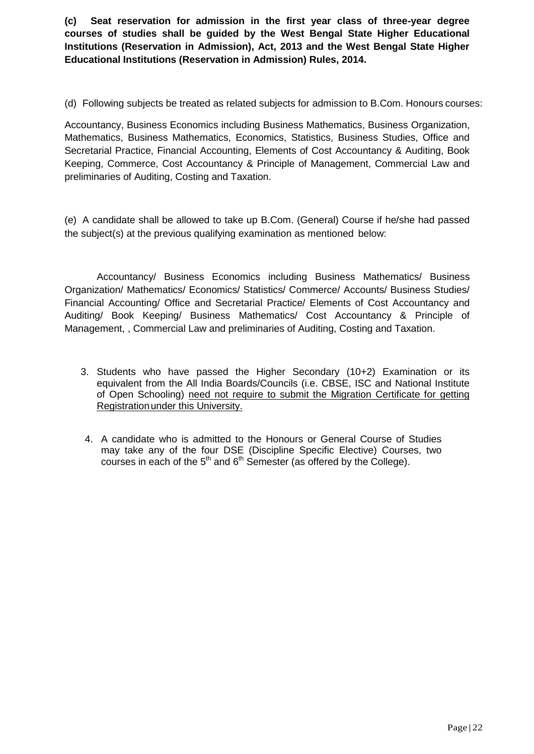**(c) Seat reservation for admission in the first year class of three-year degree courses of studies shall be guided by the West Bengal State Higher Educational Institutions (Reservation in Admission), Act, 2013 and the West Bengal State Higher Educational Institutions (Reservation in Admission) Rules, 2014.**

(d) Following subjects be treated as related subjects for admission to B.Com. Honours courses:

Accountancy, Business Economics including Business Mathematics, Business Organization, Mathematics, Business Mathematics, Economics, Statistics, Business Studies, Office and Secretarial Practice, Financial Accounting, Elements of Cost Accountancy & Auditing, Book Keeping, Commerce, Cost Accountancy & Principle of Management, Commercial Law and preliminaries of Auditing, Costing and Taxation.

(e) A candidate shall be allowed to take up B.Com. (General) Course if he/she had passed the subject(s) at the previous qualifying examination as mentioned below:

Accountancy/ Business Economics including Business Mathematics/ Business Organization/ Mathematics/ Economics/ Statistics/ Commerce/ Accounts/ Business Studies/ Financial Accounting/ Office and Secretarial Practice/ Elements of Cost Accountancy and Auditing/ Book Keeping/ Business Mathematics/ Cost Accountancy & Principle of Management, , Commercial Law and preliminaries of Auditing, Costing and Taxation.

- 3. Students who have passed the Higher Secondary (10+2) Examination or its equivalent from the All India Boards/Councils (i.e. CBSE, ISC and National Institute of Open Schooling) need not require to submit the Migration Certificate for getting Registrationunder this University.
- 4. A candidate who is admitted to the Honours or General Course of Studies may take any of the four DSE (Discipline Specific Elective) Courses, two courses in each of the  $5<sup>th</sup>$  and  $6<sup>th</sup>$  Semester (as offered by the College).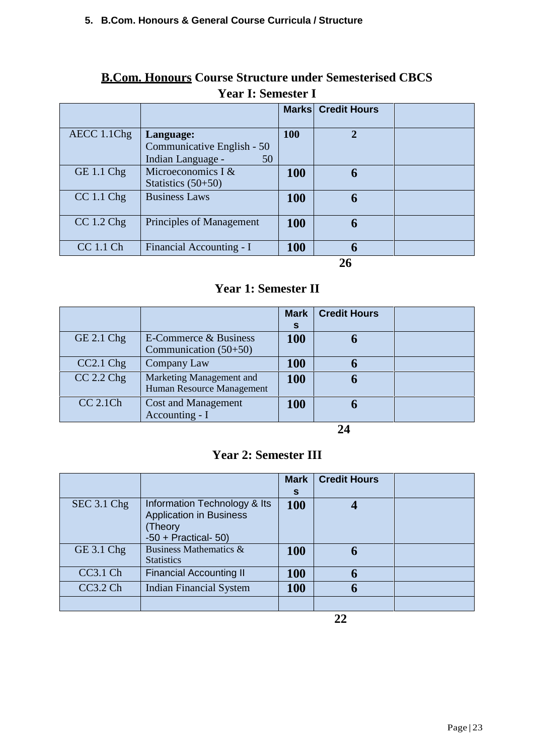# **B.Com. Honours Course Structure under Semesterised CBCS Year I: Semester I**

|                   |                                                       | <b>Marks</b> | <b>Credit Hours</b> |  |
|-------------------|-------------------------------------------------------|--------------|---------------------|--|
| AECC 1.1Chg       | Language:                                             | 100          | $\mathbf{2}$        |  |
|                   | Communicative English - 50<br>Indian Language -<br>50 |              |                     |  |
| <b>GE 1.1 Chg</b> | Microeconomics I $&$<br>Statistics $(50+50)$          | <b>100</b>   | 6                   |  |
| $CC 1.1$ Chg      | <b>Business Laws</b>                                  | <b>100</b>   | 6                   |  |
| $CC 1.2$ Chg      | Principles of Management                              | <b>100</b>   |                     |  |
| CC 1.1 Ch         | Financial Accounting - I                              | <b>100</b>   |                     |  |

**26**

# **Year 1: Semester II**

|                |                                                       | <b>Mark</b><br>S | <b>Credit Hours</b> |  |
|----------------|-------------------------------------------------------|------------------|---------------------|--|
| $GE$ 2.1 $Chg$ | E-Commerce & Business<br>Communication $(50+50)$      | <b>100</b>       |                     |  |
| $CC2.1$ Chg    | Company Law                                           | <b>100</b>       |                     |  |
| $CC$ 2.2 $Chg$ | Marketing Management and<br>Human Resource Management | <b>100</b>       |                     |  |
| $CC$ 2.1 $Ch$  | <b>Cost and Management</b><br>Accounting - I          | <b>100</b>       |                     |  |

**24**

# **Year 2: Semester III**

|                     |                                                                                                     | <b>Mark</b><br>S | <b>Credit Hours</b> |  |
|---------------------|-----------------------------------------------------------------------------------------------------|------------------|---------------------|--|
| SEC 3.1 Chg         | Information Technology & Its<br><b>Application in Business</b><br>(Theory<br>$-50$ + Practical- 50) | <b>100</b>       |                     |  |
| $GE$ 3.1 $Chg$      | Business Mathematics &<br><b>Statistics</b>                                                         | <b>100</b>       | 6                   |  |
| CC3.1 Ch            | <b>Financial Accounting II</b>                                                                      | <b>100</b>       | 6                   |  |
| CC3.2 <sub>ch</sub> | <b>Indian Financial System</b>                                                                      | <b>100</b>       | 6                   |  |
|                     |                                                                                                     |                  |                     |  |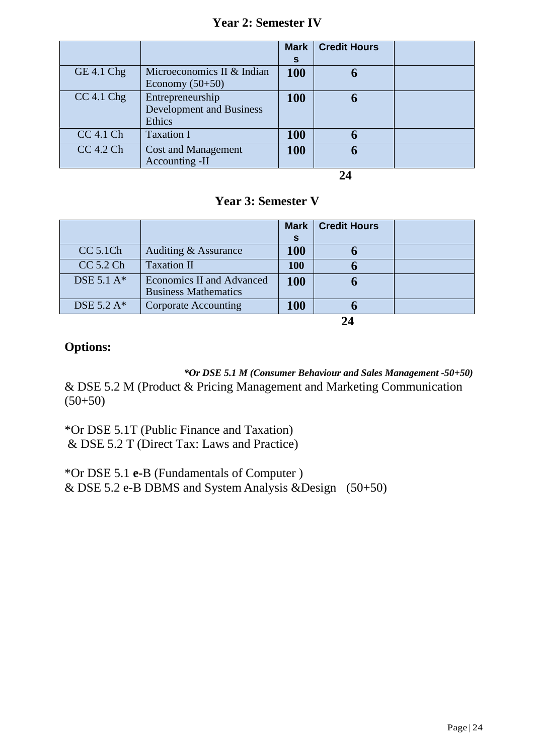# **Year 2: Semester IV**

|                |                                                               | <b>Mark</b><br>S | <b>Credit Hours</b> |  |
|----------------|---------------------------------------------------------------|------------------|---------------------|--|
| GE 4.1 Chg     | Microeconomics II & Indian<br>Economy $(50+50)$               | <b>100</b>       |                     |  |
| $CC$ 4.1 $Chg$ | Entrepreneurship<br><b>Development and Business</b><br>Ethics | <b>100</b>       |                     |  |
| $CC$ 4.1 $Ch$  | <b>Taxation I</b>                                             | <b>100</b>       |                     |  |
| CC 4.2 Ch      | <b>Cost and Management</b><br>Accounting -II                  | <b>100</b>       |                     |  |

**24**

# **Year 3: Semester V**

|                                  |                                                          | <b>Mark</b> | <b>Credit Hours</b> |  |
|----------------------------------|----------------------------------------------------------|-------------|---------------------|--|
|                                  |                                                          | S           |                     |  |
| <b>CC 5.1Ch</b>                  | Auditing & Assurance                                     | <b>100</b>  |                     |  |
| CC 5.2 Ch                        | <b>Taxation II</b>                                       | <b>100</b>  |                     |  |
| DSE $5.1 \text{ A}$ <sup>*</sup> | Economics II and Advanced<br><b>Business Mathematics</b> | <b>100</b>  |                     |  |
| DSE 5.2 A*                       | Corporate Accounting                                     | <b>100</b>  |                     |  |
|                                  |                                                          |             | 74                  |  |

# **Options:**

*\*Or DSE 5.1 M (Consumer Behaviour and Sales Management -50+50)* & DSE 5.2 M (Product & Pricing Management and Marketing Communication  $(50+50)$ 

\*Or DSE 5.1T (Public Finance and Taxation) & DSE 5.2 T (Direct Tax: Laws and Practice)

\*Or DSE 5.1 **e-**B (Fundamentals of Computer ) & DSE 5.2 e-B DBMS and System Analysis &Design  $(50+50)$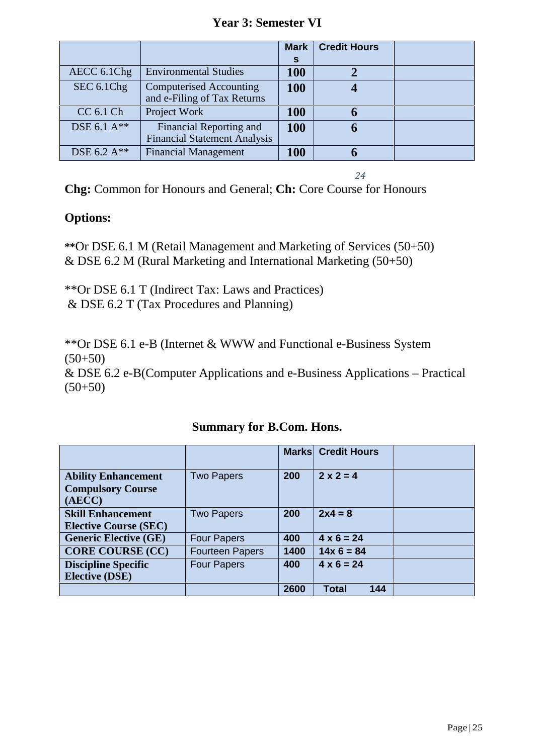# **Year 3: Semester VI**

|                  |                                                                | <b>Mark</b> | <b>Credit Hours</b> |  |
|------------------|----------------------------------------------------------------|-------------|---------------------|--|
|                  |                                                                | <b>S</b>    |                     |  |
| AECC 6.1Chg      | <b>Environmental Studies</b>                                   | <b>100</b>  |                     |  |
| SEC 6.1Chg       | <b>Computerised Accounting</b><br>and e-Filing of Tax Returns  | <b>100</b>  |                     |  |
| CC 6.1 Ch        | Project Work                                                   | <b>100</b>  |                     |  |
| DSE 6.1 A**      | Financial Reporting and<br><b>Financial Statement Analysis</b> | <b>100</b>  |                     |  |
| DSE 6.2 $A^{**}$ | <b>Financial Management</b>                                    | <b>100</b>  |                     |  |

*24*

**Chg:** Common for Honours and General; **Ch:** Core Course for Honours

# **Options:**

**\*\***Or DSE 6.1 M (Retail Management and Marketing of Services (50+50) & DSE 6.2 M (Rural Marketing and International Marketing (50+50)

\*\*Or DSE 6.1 T (Indirect Tax: Laws and Practices) & DSE 6.2 T (Tax Procedures and Planning)

\*\*Or DSE 6.1 e-B (Internet & WWW and Functional e-Business System  $(50+50)$ & DSE 6.2 e-B(Computer Applications and e-Business Applications – Practical  $(50+50)$ 

|                                                                  |                        |      | <b>Marks Credit Hours</b> |  |
|------------------------------------------------------------------|------------------------|------|---------------------------|--|
| <b>Ability Enhancement</b><br><b>Compulsory Course</b><br>(AECC) | <b>Two Papers</b>      | 200  | $2 \times 2 = 4$          |  |
| <b>Skill Enhancement</b><br><b>Elective Course (SEC)</b>         | <b>Two Papers</b>      | 200  | $2x4 = 8$                 |  |
| <b>Generic Elective (GE)</b>                                     | <b>Four Papers</b>     | 400  | $4 \times 6 = 24$         |  |
| <b>CORE COURSE (CC)</b>                                          | <b>Fourteen Papers</b> | 1400 | $14x 6 = 84$              |  |
| <b>Discipline Specific</b>                                       | <b>Four Papers</b>     | 400  | $4 \times 6 = 24$         |  |
| <b>Elective (DSE)</b>                                            |                        |      |                           |  |
|                                                                  |                        | 2600 | Total<br>144              |  |

**Summary for B.Com. Hons.**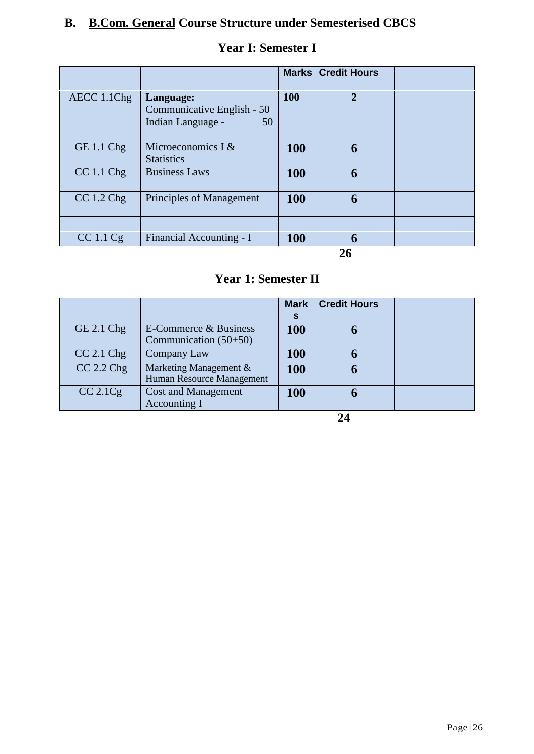# **B. B.Com. General Course Structure under Semesterised CBCS**

|              |                                                                    |            | <b>Marks Credit Hours</b> |  |
|--------------|--------------------------------------------------------------------|------------|---------------------------|--|
| AECC 1.1Chg  | Language:<br>Communicative English - 50<br>Indian Language -<br>50 | 100        | $\overline{2}$            |  |
| $GE 1.1$ Chg | Microeconomics I &<br><b>Statistics</b>                            | <b>100</b> | 6                         |  |
| CC 1.1 Chg   | <b>Business Laws</b>                                               | <b>100</b> | 6                         |  |
| $CC 1.2$ Chg | Principles of Management                                           | 100        | 6                         |  |
| CC 1.1 Cg    | Financial Accounting - I                                           | <b>100</b> |                           |  |
|              |                                                                    |            | $\sim$                    |  |

# **Year I: Semester I**

**26**

# **Year 1: Semester II**

|                |                                                     | <b>Mark</b><br>S | <b>Credit Hours</b> |  |
|----------------|-----------------------------------------------------|------------------|---------------------|--|
| $GE$ 2.1 $Chg$ | E-Commerce & Business<br>Communication $(50+50)$    | <b>100</b>       |                     |  |
| $CC$ 2.1 $Chg$ | Company Law                                         | <b>100</b>       |                     |  |
| $CC$ 2.2 $Chg$ | Marketing Management &<br>Human Resource Management | <b>100</b>       |                     |  |
| $CC$ 2.1 $Cg$  | <b>Cost and Management</b><br>Accounting I          | <b>100</b>       |                     |  |

**24**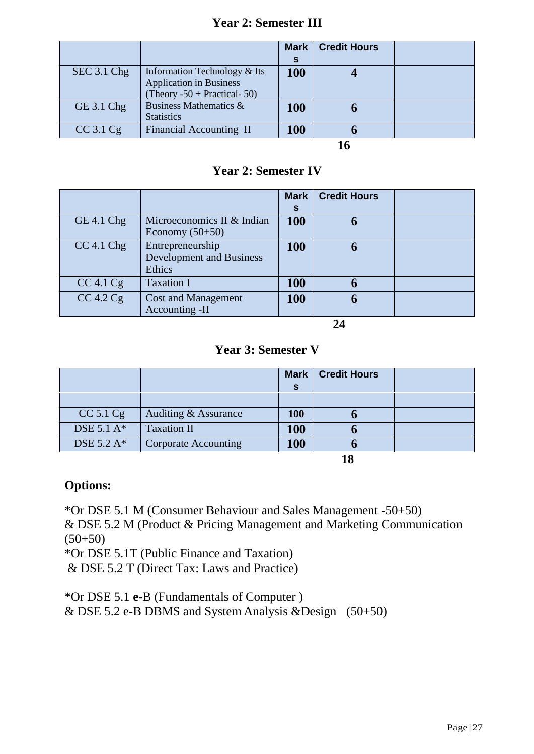# **Year 2: Semester III**

|               |                                                                                                  | <b>Mark</b><br>S | <b>Credit Hours</b> |  |
|---------------|--------------------------------------------------------------------------------------------------|------------------|---------------------|--|
| SEC 3.1 Chg   | Information Technology & Its<br><b>Application in Business</b><br>(Theory $-50$ + Practical- 50) | 100              |                     |  |
| GE 3.1 Chg    | Business Mathematics &<br><b>Statistics</b>                                                      | 100              |                     |  |
| $CC$ 3.1 $Cg$ | Financial Accounting II                                                                          | <b>100</b>       |                     |  |
|               |                                                                                                  |                  |                     |  |

# **Year 2: Semester IV**

|                |                                                               | <b>Mark</b><br>S | <b>Credit Hours</b> |  |
|----------------|---------------------------------------------------------------|------------------|---------------------|--|
| GE 4.1 Chg     | Microeconomics II & Indian<br>Economy $(50+50)$               | <b>100</b>       |                     |  |
| $CC$ 4.1 $Chg$ | Entrepreneurship<br><b>Development and Business</b><br>Ethics | <b>100</b>       |                     |  |
| $CC$ 4.1 $Cg$  | <b>Taxation I</b>                                             | <b>100</b>       |                     |  |
| $CC$ 4.2 $Cg$  | <b>Cost and Management</b><br>Accounting -II                  | <b>100</b>       |                     |  |

**24**

# **Year 3: Semester V**

|                                  |                             | <b>Mark</b> | <b>Credit Hours</b> |  |
|----------------------------------|-----------------------------|-------------|---------------------|--|
|                                  |                             | <b>S</b>    |                     |  |
|                                  |                             |             |                     |  |
| CC 5.1 Cg                        | Auditing & Assurance        | <b>100</b>  |                     |  |
| DSE $5.1 \text{ A}$ <sup>*</sup> | <b>Taxation II</b>          | <b>100</b>  |                     |  |
| DSE 5.2 $A^*$                    | <b>Corporate Accounting</b> | <b>100</b>  |                     |  |
|                                  |                             |             | 18                  |  |

**Options:**

\*Or DSE 5.1 M (Consumer Behaviour and Sales Management -50+50)

& DSE 5.2 M (Product & Pricing Management and Marketing Communication  $(50+50)$ 

\*Or DSE 5.1T (Public Finance and Taxation)

& DSE 5.2 T (Direct Tax: Laws and Practice)

\*Or DSE 5.1 **e-**B (Fundamentals of Computer )

& DSE 5.2 e-B DBMS and System Analysis &Design (50+50)